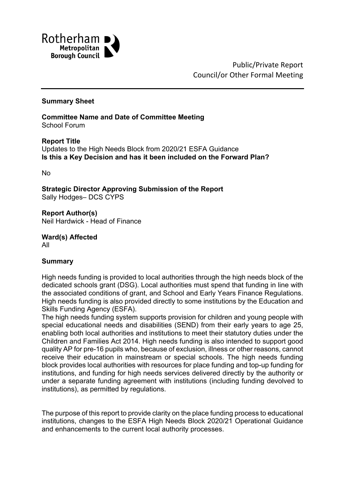

Public/Private Report Council/or Other Formal Meeting

#### **Summary Sheet**

**Committee Name and Date of Committee Meeting** School Forum

**Report Title** Updates to the High Needs Block from 2020/21 ESFA Guidance **Is this a Key Decision and has it been included on the Forward Plan?**

No

**Strategic Director Approving Submission of the Report** Sally Hodges– DCS CYPS

**Report Author(s)** Neil Hardwick - Head of Finance

**Ward(s) Affected** All

#### **Summary**

High needs funding is provided to local authorities through the high needs block of the dedicated schools grant (DSG). Local authorities must spend that funding in line with the associated conditions of grant, and School and Early Years Finance Regulations. High needs funding is also provided directly to some institutions by the Education and Skills Funding Agency (ESFA).

The high needs funding system supports provision for children and young people with special educational needs and disabilities (SEND) from their early years to age 25, enabling both local authorities and institutions to meet their statutory duties under the Children and Families Act 2014. High needs funding is also intended to support good quality AP for pre-16 pupils who, because of exclusion, illness or other reasons, cannot receive their education in mainstream or special schools. The high needs funding block provides local authorities with resources for place funding and top-up funding for institutions, and funding for high needs services delivered directly by the authority or under a separate funding agreement with institutions (including funding devolved to institutions), as permitted by regulations.

The purpose of this report to provide clarity on the place funding process to educational institutions, changes to the ESFA High Needs Block 2020/21 Operational Guidance and enhancements to the current local authority processes.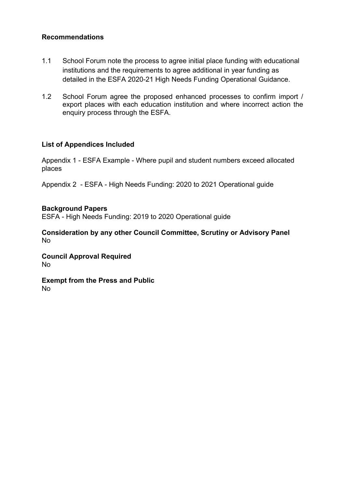### **Recommendations**

- 1.1 School Forum note the process to agree initial place funding with educational institutions and the requirements to agree additional in year funding as detailed in the ESFA 2020-21 High Needs Funding Operational Guidance.
- 1.2 School Forum agree the proposed enhanced processes to confirm import / export places with each education institution and where incorrect action the enquiry process through the ESFA.

### **List of Appendices Included**

Appendix 1 - ESFA Example - Where pupil and student numbers exceed allocated places

Appendix 2 - ESFA - High Needs Funding: 2020 to 2021 Operational guide

### **Background Papers**

ESFA - High Needs Funding: 2019 to 2020 Operational guide

**Consideration by any other Council Committee, Scrutiny or Advisory Panel** No

**Council Approval Required** No

**Exempt from the Press and Public** No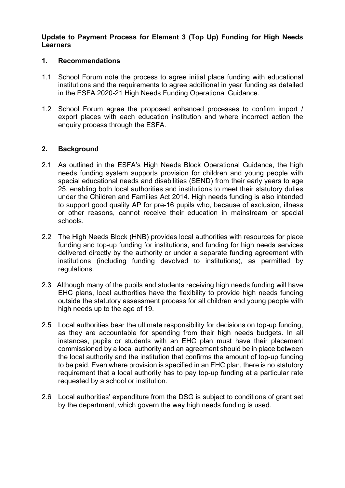#### **Update to Payment Process for Element 3 (Top Up) Funding for High Needs Learners**

#### **1. Recommendations**

- 1.1 School Forum note the process to agree initial place funding with educational institutions and the requirements to agree additional in year funding as detailed in the ESFA 2020-21 High Needs Funding Operational Guidance.
- 1.2 School Forum agree the proposed enhanced processes to confirm import / export places with each education institution and where incorrect action the enquiry process through the ESFA.

#### **2. Background**

- 2.1 As outlined in the ESFA's High Needs Block Operational Guidance, the high needs funding system supports provision for children and young people with special educational needs and disabilities (SEND) from their early years to age 25, enabling both local authorities and institutions to meet their statutory duties under the Children and Families Act 2014. High needs funding is also intended to support good quality AP for pre-16 pupils who, because of exclusion, illness or other reasons, cannot receive their education in mainstream or special schools.
- 2.2 The High Needs Block (HNB) provides local authorities with resources for place funding and top-up funding for institutions, and funding for high needs services delivered directly by the authority or under a separate funding agreement with institutions (including funding devolved to institutions), as permitted by regulations.
- 2.3 Although many of the pupils and students receiving high needs funding will have EHC plans, local authorities have the flexibility to provide high needs funding outside the statutory assessment process for all children and young people with high needs up to the age of 19.
- 2.5 Local authorities bear the ultimate responsibility for decisions on top-up funding, as they are accountable for spending from their high needs budgets. In all instances, pupils or students with an EHC plan must have their placement commissioned by a local authority and an agreement should be in place between the local authority and the institution that confirms the amount of top-up funding to be paid. Even where provision is specified in an EHC plan, there is no statutory requirement that a local authority has to pay top-up funding at a particular rate requested by a school or institution.
- 2.6 Local authorities' expenditure from the DSG is subject to conditions of grant set by the department, which govern the way high needs funding is used.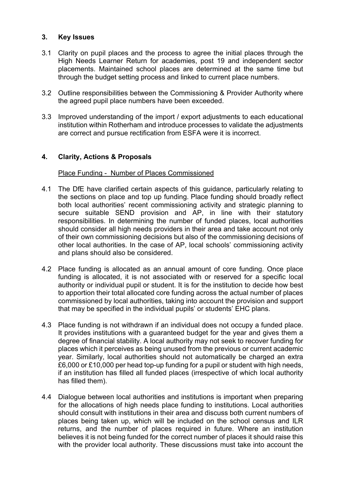### **3. Key Issues**

- 3.1 Clarity on pupil places and the process to agree the initial places through the High Needs Learner Return for academies, post 19 and independent sector placements. Maintained school places are determined at the same time but through the budget setting process and linked to current place numbers.
- 3.2 Outline responsibilities between the Commissioning & Provider Authority where the agreed pupil place numbers have been exceeded.
- 3.3 Improved understanding of the import / export adjustments to each educational institution within Rotherham and introduce processes to validate the adjustments are correct and pursue rectification from ESFA were it is incorrect.

### **4. Clarity, Actions & Proposals**

#### Place Funding - Number of Places Commissioned

- 4.1 The DfE have clarified certain aspects of this guidance, particularly relating to the sections on place and top up funding. Place funding should broadly reflect both local authorities' recent commissioning activity and strategic planning to secure suitable SEND provision and AP, in line with their statutory responsibilities. In determining the number of funded places, local authorities should consider all high needs providers in their area and take account not only of their own commissioning decisions but also of the commissioning decisions of other local authorities. In the case of AP, local schools' commissioning activity and plans should also be considered.
- 4.2 Place funding is allocated as an annual amount of core funding. Once place funding is allocated, it is not associated with or reserved for a specific local authority or individual pupil or student. It is for the institution to decide how best to apportion their total allocated core funding across the actual number of places commissioned by local authorities, taking into account the provision and support that may be specified in the individual pupils' or students' EHC plans.
- 4.3 Place funding is not withdrawn if an individual does not occupy a funded place. It provides institutions with a guaranteed budget for the year and gives them a degree of financial stability. A local authority may not seek to recover funding for places which it perceives as being unused from the previous or current academic year. Similarly, local authorities should not automatically be charged an extra £6,000 or £10,000 per head top-up funding for a pupil or student with high needs, if an institution has filled all funded places (irrespective of which local authority has filled them).
- 4.4 Dialogue between local authorities and institutions is important when preparing for the allocations of high needs place funding to institutions. Local authorities should consult with institutions in their area and discuss both current numbers of places being taken up, which will be included on the school census and ILR returns, and the number of places required in future. Where an institution believes it is not being funded for the correct number of places it should raise this with the provider local authority. These discussions must take into account the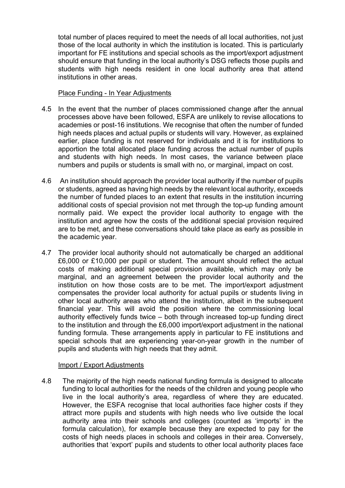total number of places required to meet the needs of all local authorities, not just those of the local authority in which the institution is located. This is particularly important for FE institutions and special schools as the import/export adjustment should ensure that funding in the local authority's DSG reflects those pupils and students with high needs resident in one local authority area that attend institutions in other areas.

#### Place Funding - In Year Adjustments

- 4.5 In the event that the number of places commissioned change after the annual processes above have been followed, ESFA are unlikely to revise allocations to academies or post-16 institutions. We recognise that often the number of funded high needs places and actual pupils or students will vary. However, as explained earlier, place funding is not reserved for individuals and it is for institutions to apportion the total allocated place funding across the actual number of pupils and students with high needs. In most cases, the variance between place numbers and pupils or students is small with no, or marginal, impact on cost.
- 4.6 An institution should approach the provider local authority if the number of pupils or students, agreed as having high needs by the relevant local authority, exceeds the number of funded places to an extent that results in the institution incurring additional costs of special provision not met through the top-up funding amount normally paid. We expect the provider local authority to engage with the institution and agree how the costs of the additional special provision required are to be met, and these conversations should take place as early as possible in the academic year.
- 4.7 The provider local authority should not automatically be charged an additional £6,000 or £10,000 per pupil or student. The amount should reflect the actual costs of making additional special provision available, which may only be marginal, and an agreement between the provider local authority and the institution on how those costs are to be met. The import/export adjustment compensates the provider local authority for actual pupils or students living in other local authority areas who attend the institution, albeit in the subsequent financial year. This will avoid the position where the commissioning local authority effectively funds twice – both through increased top-up funding direct to the institution and through the £6,000 import/export adjustment in the national funding formula. These arrangements apply in particular to FE institutions and special schools that are experiencing year-on-year growth in the number of pupils and students with high needs that they admit.

#### Import / Export Adjustments

4.8 The majority of the high needs national funding formula is designed to allocate funding to local authorities for the needs of the children and young people who live in the local authority's area, regardless of where they are educated. However, the ESFA recognise that local authorities face higher costs if they attract more pupils and students with high needs who live outside the local authority area into their schools and colleges (counted as 'imports' in the formula calculation), for example because they are expected to pay for the costs of high needs places in schools and colleges in their area. Conversely, authorities that 'export' pupils and students to other local authority places face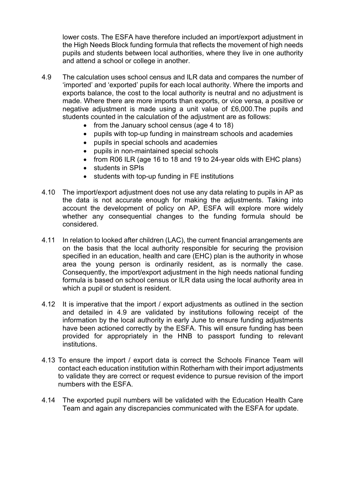lower costs. The ESFA have therefore included an import/export adjustment in the High Needs Block funding formula that reflects the movement of high needs pupils and students between local authorities, where they live in one authority and attend a school or college in another.

- 4.9 The calculation uses school census and ILR data and compares the number of 'imported' and 'exported' pupils for each local authority. Where the imports and exports balance, the cost to the local authority is neutral and no adjustment is made. Where there are more imports than exports, or vice versa, a positive or negative adjustment is made using a unit value of £6,000.The pupils and students counted in the calculation of the adjustment are as follows:
	- from the January school census (age 4 to 18)
	- pupils with top-up funding in mainstream schools and academies
	- pupils in special schools and academies
	- pupils in non-maintained special schools
	- from R06 ILR (age 16 to 18 and 19 to 24-year olds with EHC plans)
	- students in SPIs
	- students with top-up funding in FE institutions
- 4.10 The import/export adjustment does not use any data relating to pupils in AP as the data is not accurate enough for making the adjustments. Taking into account the development of policy on AP, ESFA will explore more widely whether any consequential changes to the funding formula should be considered.
- 4.11 In relation to looked after children (LAC), the current financial arrangements are on the basis that the local authority responsible for securing the provision specified in an education, health and care (EHC) plan is the authority in whose area the young person is ordinarily resident, as is normally the case. Consequently, the import/export adjustment in the high needs national funding formula is based on school census or ILR data using the local authority area in which a pupil or student is resident.
- 4.12 It is imperative that the import / export adjustments as outlined in the section and detailed in 4.9 are validated by institutions following receipt of the information by the local authority in early June to ensure funding adjustments have been actioned correctly by the ESFA. This will ensure funding has been provided for appropriately in the HNB to passport funding to relevant institutions.
- 4.13 To ensure the import / export data is correct the Schools Finance Team will contact each education institution within Rotherham with their import adjustments to validate they are correct or request evidence to pursue revision of the import numbers with the ESFA.
- 4.14 The exported pupil numbers will be validated with the Education Health Care Team and again any discrepancies communicated with the ESFA for update.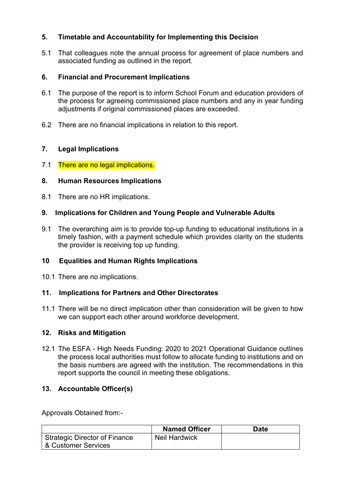# **5. Timetable and Accountability for Implementing this Decision**

5.1 That colleagues note the annual process for agreement of place numbers and associated funding as outlined in the report.

# **6. Financial and Procurement Implications**

- 6.1 The purpose of the report is to inform School Forum and education providers of the process for agreeing commissioned place numbers and any in year funding adjustments if original commissioned places are exceeded.
- 6.2 There are no financial implications in relation to this report.

# **7. Legal Implications**

7.1 There are no legal implications.

# **8. Human Resources Implications**

8.1 There are no HR implications.

# **9. Implications for Children and Young People and Vulnerable Adults**

9.1 The overarching aim is to provide top-up funding to educational institutions in a timely fashion, with a payment schedule which provides clarity on the students the provider is receiving top up funding.

# **10 Equalities and Human Rights Implications**

10.1 There are no implications.

# **11. Implications for Partners and Other Directorates**

11.1 There will be no direct implication other than consideration will be given to how we can support each other around workforce development.

# **12. Risks and Mitigation**

12.1 The ESFA - High Needs Funding: 2020 to 2021 Operational Guidance outlines the process local authorities must follow to allocate funding to institutions and on the basis numbers are agreed with the institution. The recommendations in this report supports the council in meeting these obligations.

# **13. Accountable Officer(s)**

Approvals Obtained from:-

|                                                             | <b>Named Officer</b> | <b>Date</b> |
|-------------------------------------------------------------|----------------------|-------------|
| <b>Strategic Director of Finance</b><br>& Customer Services | <b>Neil Hardwick</b> |             |
|                                                             |                      |             |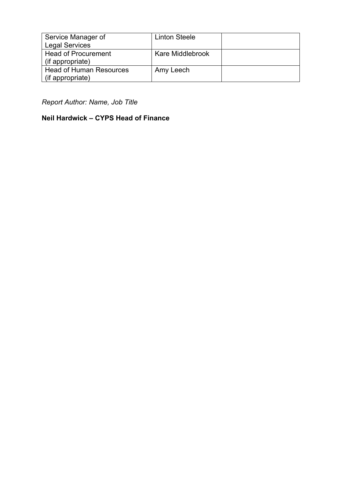| Service Manager of             | <b>Linton Steele</b> |  |
|--------------------------------|----------------------|--|
| <b>Legal Services</b>          |                      |  |
| <b>Head of Procurement</b>     | Kare Middlebrook     |  |
| (if appropriate)               |                      |  |
| <b>Head of Human Resources</b> | Amy Leech            |  |
| (if appropriate)               |                      |  |

*Report Author: Name, Job Title*

# **Neil Hardwick – CYPS Head of Finance**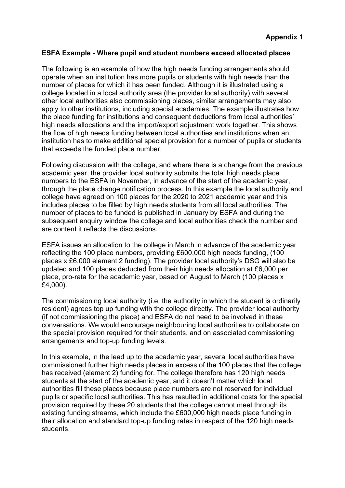### **ESFA Example - Where pupil and student numbers exceed allocated places**

The following is an example of how the high needs funding arrangements should operate when an institution has more pupils or students with high needs than the number of places for which it has been funded. Although it is illustrated using a college located in a local authority area (the provider local authority) with several other local authorities also commissioning places, similar arrangements may also apply to other institutions, including special academies. The example illustrates how the place funding for institutions and consequent deductions from local authorities' high needs allocations and the import/export adjustment work together. This shows the flow of high needs funding between local authorities and institutions when an institution has to make additional special provision for a number of pupils or students that exceeds the funded place number.

Following discussion with the college, and where there is a change from the previous academic year, the provider local authority submits the total high needs place numbers to the ESFA in November, in advance of the start of the academic year, through the place change notification process. In this example the local authority and college have agreed on 100 places for the 2020 to 2021 academic year and this includes places to be filled by high needs students from all local authorities. The number of places to be funded is published in January by ESFA and during the subsequent enquiry window the college and local authorities check the number and are content it reflects the discussions.

ESFA issues an allocation to the college in March in advance of the academic year reflecting the 100 place numbers, providing £600,000 high needs funding, (100 places x £6,000 element 2 funding). The provider local authority's DSG will also be updated and 100 places deducted from their high needs allocation at £6,000 per place, pro-rata for the academic year, based on August to March (100 places x £4,000).

The commissioning local authority (i.e. the authority in which the student is ordinarily resident) agrees top up funding with the college directly. The provider local authority (if not commissioning the place) and ESFA do not need to be involved in these conversations. We would encourage neighbouring local authorities to collaborate on the special provision required for their students, and on associated commissioning arrangements and top-up funding levels.

In this example, in the lead up to the academic year, several local authorities have commissioned further high needs places in excess of the 100 places that the college has received (element 2) funding for. The college therefore has 120 high needs students at the start of the academic year, and it doesn't matter which local authorities fill these places because place numbers are not reserved for individual pupils or specific local authorities. This has resulted in additional costs for the special provision required by these 20 students that the college cannot meet through its existing funding streams, which include the £600,000 high needs place funding in their allocation and standard top-up funding rates in respect of the 120 high needs students.